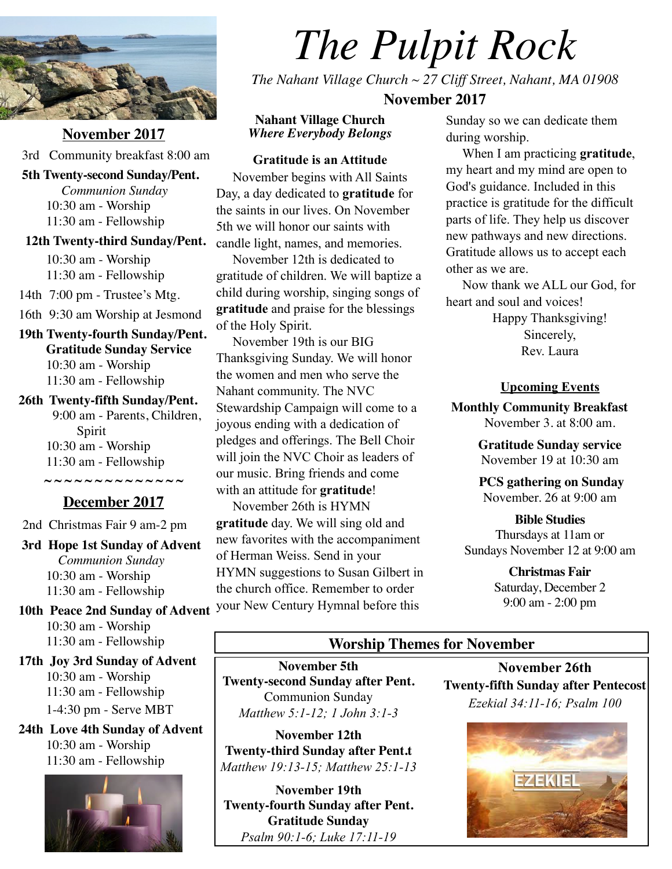

**November 2017** 3rd Community breakfast 8:00 am

#### **5th Twenty-second Sunday/Pent.**

*Communion Sunday* 10:30 am - Worship 11:30 am - Fellowship

#### **12th Twenty-third Sunday/Pent.**

10:30 am - Worship 11:30 am - Fellowship

14th 7:00 pm - Trustee's Mtg.

16th 9:30 am Worship at Jesmond

**19th Twenty-fourth Sunday/Pent. Gratitude Sunday Service**  10:30 am - Worship 11:30 am - Fellowship

#### **26th Twenty-fifth Sunday/Pent.** 9:00 am - Parents, Children,

Spirit 10:30 am - Worship 11:30 am - Fellowship

## **December 2017**

**~ ~ ~ ~ ~ ~ ~ ~ ~ ~ ~ ~ ~ ~** 

2nd Christmas Fair 9 am-2 pm

 **3rd Hope 1st Sunday of Advent** *Communion Sunday* 10:30 am - Worship 11:30 am - Fellowship

 **10th Peace 2nd Sunday of Advent** 10:30 am - Worship 11:30 am - Fellowship

**17th Joy 3rd Sunday of Advent**  10:30 am - Worship 11:30 am - Fellowship 1-4:30 pm - Serve MBT

**24th Love 4th Sunday of Advent**  10:30 am - Worship 11:30 am - Fellowship



# *The Pulpit Rock*

*The Nahant Village Church ~ 27 Cliff Street, Nahant, MA 01908* 

## **November 2017**

**Nahant Village Church**  *Where Everybody Belongs* 

#### **Gratitude is an Attitude**

 November begins with All Saints Day, a day dedicated to **gratitude** for the saints in our lives. On November 5th we will honor our saints with candle light, names, and memories.

 November 12th is dedicated to gratitude of children. We will baptize a child during worship, singing songs of **gratitude** and praise for the blessings of the Holy Spirit.

 November 19th is our BIG Thanksgiving Sunday. We will honor the women and men who serve the Nahant community. The NVC Stewardship Campaign will come to a joyous ending with a dedication of pledges and offerings. The Bell Choir will join the NVC Choir as leaders of our music. Bring friends and come with an attitude for **gratitude**!

 November 26th is HYMN **gratitude** day. We will sing old and new favorites with the accompaniment of Herman Weiss. Send in your HYMN suggestions to Susan Gilbert in the church office. Remember to order your New Century Hymnal before this

Sunday so we can dedicate them during worship.

 When I am practicing **gratitude**, my heart and my mind are open to God's guidance. Included in this practice is gratitude for the difficult parts of life. They help us discover new pathways and new directions. Gratitude allows us to accept each other as we are.

 Now thank we ALL our God, for heart and soul and voices!

> Happy Thanksgiving! Sincerely, Rev. Laura

#### **Upcoming Events**

**Monthly Community Breakfast** November 3. at 8:00 am.

> **Gratitude Sunday service**  November 19 at 10:30 am

**PCS gathering on Sunday**  November. 26 at 9:00 am

### **Bible Studies** Thursdays at 11am or Sundays November 12 at 9:00 am

**Christmas Fair**  Saturday, December 2 9:00 am - 2:00 pm

## **Worship Themes for November**

**November 5th Twenty-second Sunday after Pent.**  Communion Sunday *Matthew 5:1-12; 1 John 3:1-3*

**November 12th Twenty-third Sunday after Pent.t** *Matthew 19:13-15; Matthew 25:1-13*

**November 19th Twenty-fourth Sunday after Pent. Gratitude Sunday**  *Psalm 90:1-6; Luke 17:11-19*

**November 26th Twenty-fifth Sunday after Pentecost** *Ezekial 34:11-16; Psalm 100*

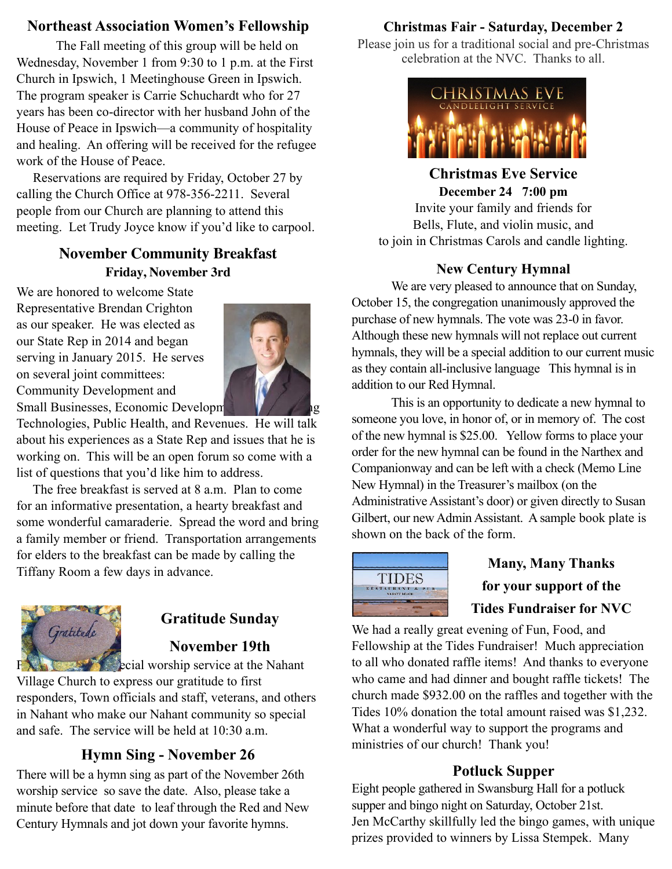# **Northeast Association Women's Fellowship**

The Fall meeting of this group will be held on Wednesday, November 1 from 9:30 to 1 p.m. at the First Church in Ipswich, 1 Meetinghouse Green in Ipswich. The program speaker is Carrie Schuchardt who for 27 years has been co-director with her husband John of the House of Peace in Ipswich—a community of hospitality and healing. An offering will be received for the refugee work of the House of Peace.

 Reservations are required by Friday, October 27 by calling the Church Office at 978-356-2211. Several people from our Church are planning to attend this meeting. Let Trudy Joyce know if you'd like to carpool.

## **November Community Breakfast Friday, November 3rd**

We are honored to welcome State Representative Brendan Crighton as our speaker. He was elected as our State Rep in 2014 and began serving in January 2015. He serves on several joint committees: Community Development and Small Businesses, Economic Developm



Technologies, Public Health, and Revenues. He will talk about his experiences as a State Rep and issues that he is working on. This will be an open forum so come with a list of questions that you'd like him to address.

 The free breakfast is served at 8 a.m. Plan to come for an informative presentation, a hearty breakfast and some wonderful camaraderie. Spread the word and bring a family member or friend. Transportation arrangements for elders to the breakfast can be made by calling the Tiffany Room a few days in advance.



# **Gratitude Sunday**

# **November 19th**

**Please come to a special worship service at the Nahant** 

Village Church to express our gratitude to first responders, Town officials and staff, veterans, and others in Nahant who make our Nahant community so special and safe. The service will be held at 10:30 a.m.

# **Hymn Sing - November 26**

There will be a hymn sing as part of the November 26th worship service so save the date. Also, please take a minute before that date to leaf through the Red and New Century Hymnals and jot down your favorite hymns.

# **Christmas Fair - Saturday, December 2**

Please join us for a traditional social and pre-Christmas celebration at the NVC. Thanks to all.



**Christmas Eve Service December 24 7:00 pm**  Invite your family and friends for Bells, Flute, and violin music, and

to join in Christmas Carols and candle lighting.

# **New Century Hymnal**

We are very pleased to announce that on Sunday, October 15, the congregation unanimously approved the purchase of new hymnals. The vote was 23-0 in favor. Although these new hymnals will not replace out current hymnals, they will be a special addition to our current music as they contain all-inclusive language This hymnal is in addition to our Red Hymnal.

This is an opportunity to dedicate a new hymnal to someone you love, in honor of, or in memory of. The cost of the new hymnal is \$25.00. Yellow forms to place your order for the new hymnal can be found in the Narthex and Companionway and can be left with a check (Memo Line New Hymnal) in the Treasurer's mailbox (on the Administrative Assistant's door) or given directly to Susan Gilbert, our new Admin Assistant. A sample book plate is shown on the back of the form.



# **Many, Many Thanks for your support of the Tides Fundraiser for NVC**

We had a really great evening of Fun, Food, and Fellowship at the Tides Fundraiser! Much appreciation to all who donated raffle items! And thanks to everyone who came and had dinner and bought raffle tickets! The church made \$932.00 on the raffles and together with the Tides 10% donation the total amount raised was \$1,232. What a wonderful way to support the programs and ministries of our church! Thank you!

## **Potluck Supper**

Eight people gathered in Swansburg Hall for a potluck supper and bingo night on Saturday, October 21st. Jen McCarthy skillfully led the bingo games, with unique prizes provided to winners by Lissa Stempek. Many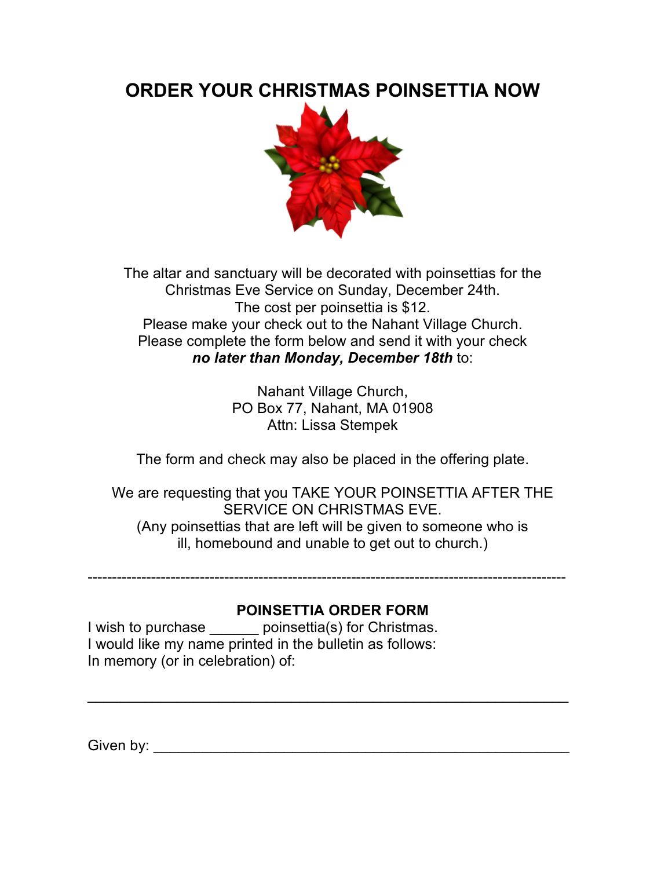# **ORDER YOUR CHRISTMAS POINSETTIA NOW**



The altar and sanctuary will be decorated with poinsettias for the Christmas Eve Service on Sunday, December 24th. The cost per poinsettia is \$12. Please make your check out to the Nahant Village Church. Please complete the form below and send it with your check *no later than Monday, December 18th* to:

> Nahant Village Church, PO Box 77, Nahant, MA 01908 Attn: Lissa Stempek

The form and check may also be placed in the offering plate.

We are requesting that you TAKE YOUR POINSETTIA AFTER THE SERVICE ON CHRISTMAS EVE. (Any poinsettias that are left will be given to someone who is ill, homebound and unable to get out to church.)

# **POINSETTIA ORDER FORM**

\_\_\_\_\_\_\_\_\_\_\_\_\_\_\_\_\_\_\_\_\_\_\_\_\_\_\_\_\_\_\_\_\_\_\_\_\_\_\_\_\_\_\_\_\_\_\_\_\_\_\_\_\_\_\_\_\_\_\_

--------------------------------------------------------------------------------------------------

I wish to purchase \_\_\_\_\_\_ poinsettia(s) for Christmas. I would like my name printed in the bulletin as follows: In memory (or in celebration) of:

Given by: \_\_\_\_\_\_\_\_\_\_\_\_\_\_\_\_\_\_\_\_\_\_\_\_\_\_\_\_\_\_\_\_\_\_\_\_\_\_\_\_\_\_\_\_\_\_\_\_\_\_\_